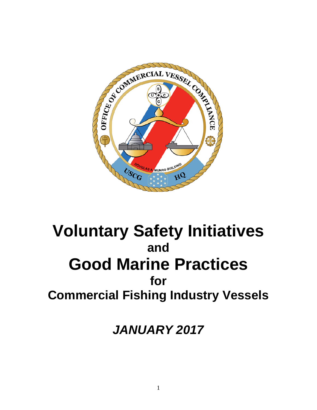

# **Voluntary Safety Initiatives and Good Marine Practices for Commercial Fishing Industry Vessels**

*JANUARY 2017*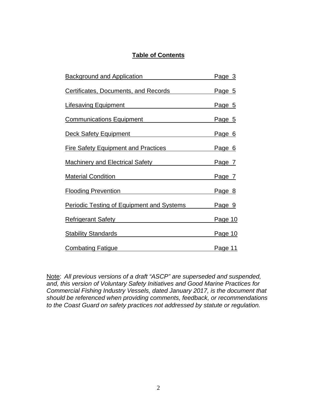## **Table of Contents**

| Background and Application                                                                                                                                                                                                                                                        | <u>Page 3</u>  |
|-----------------------------------------------------------------------------------------------------------------------------------------------------------------------------------------------------------------------------------------------------------------------------------|----------------|
| <b>Certificates, Documents, and Records</b>                                                                                                                                                                                                                                       | Page 5         |
| <u>Lifesaving Equipment</u> Lifesaving                                                                                                                                                                                                                                            | <u>Page 5</u>  |
| Communications Equipment                                                                                                                                                                                                                                                          | Page 5         |
| Deck Safety Equipment <b>Deck Safety</b> Equipment                                                                                                                                                                                                                                | Page 6         |
| Fire Safety Equipment and Practices                                                                                                                                                                                                                                               | <u>Page 6</u>  |
| <u>Machinery and Electrical Safety</u> Machinery and                                                                                                                                                                                                                              | Page 7         |
| Material Condition Material Condition                                                                                                                                                                                                                                             | <u>Page 7</u>  |
| <u>Flooding Prevention Electron Community Control Community Community</u>                                                                                                                                                                                                         | <u>Page 8</u>  |
| <b>Periodic Testing of Equipment and Systems</b>                                                                                                                                                                                                                                  | Page 9         |
| Refrigerant Safety<br>Notice and Contain the Contract of the Contract of the Contract of the Contract of the Contract of the Contract of the Contract of the Contract of the Contract of the Contract of the Contract of the Con                                                  | <u>Page 10</u> |
| Stability Standards <b>Stability</b> Standards <b>Stability</b> Standards <b>Stability</b> Standards <b>Stability</b> Standards <b>Stability</b> Standards <b>Stability</b> Standards <b>Stability</b> Standards <b>Stability</b> Standards <b>Stability</b> Standards <b>Sta</b> | <u>Page 10</u> |
| <b>Combating Fatigue</b>                                                                                                                                                                                                                                                          | <u>Page 11</u> |

Note: *All previous versions of a draft "ASCP" are superseded and suspended, and, this version of Voluntary Safety Initiatives and Good Marine Practices for Commercial Fishing Industry Vessels, dated January 2017, is the document that should be referenced when providing comments, feedback, or recommendations to the Coast Guard on safety practices not addressed by statute or regulation.*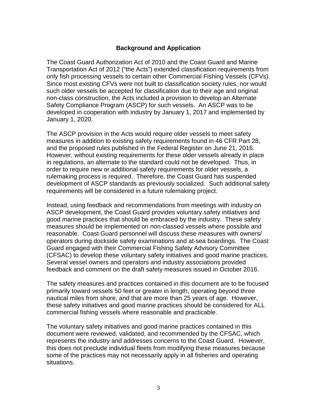#### **Background and Application**

The Coast Guard Authorization Act of 2010 and the Coast Guard and Marine Transportation Act of 2012 ("the Acts") extended classification requirements from only fish processing vessels to certain other Commercial Fishing Vessels (CFVs). Since most existing CFVs were not built to classification society rules, nor would such older vessels be accepted for classification due to their age and original non-class construction, the Acts included a provision to develop an Alternate Safety Compliance Program (ASCP) for such vessels. An ASCP was to be developed in cooperation with industry by January 1, 2017 and implemented by January 1, 2020.

The ASCP provision in the Acts would require older vessels to meet safety measures in addition to existing safety requirements found in 46 CFR Part 28, and the proposed rules published in the Federal Register on June 21, 2016. However, without existing requirements for these older vessels already in place in regulations, an alternate to the standard could not be developed. Thus, in order to require new or additional safety requirements for older vessels, a rulemaking process is required. Therefore, the Coast Guard has suspended development of ASCP standards as previously socialized. Such additional safety requirements will be considered in a future rulemaking project.

Instead, using feedback and recommendations from meetings with industry on ASCP development, the Coast Guard provides voluntary safety initiatives and good marine practices that should be embraced by the industry. These safety measures should be implemented on non-classed vessels where possible and reasonable. Coast Guard personnel will discuss these measures with owners/ operators during dockside safety examinations and at-sea boardings. The Coast Guard engaged with their Commercial Fishing Safety Advisory Committee (CFSAC) to develop these voluntary safety initiatives and good marine practices. Several vessel owners and operators and industry associations provided feedback and comment on the draft safety measures issued in October 2016.

The safety measures and practices contained in this document are to be focused primarily toward vessels 50 feet or greater in length, operating beyond three nautical miles from shore, and that are more than 25 years of age. However, these safety initiatives and good marine practices should be considered for ALL commercial fishing vessels where reasonable and practicable.

The voluntary safety initiatives and good marine practices contained in this document were reviewed, validated, and recommended by the CFSAC, which represents the industry and addresses concerns to the Coast Guard. However, this does not preclude individual fleets from modifying these measures because some of the practices may not necessarily apply in all fisheries and operating situations.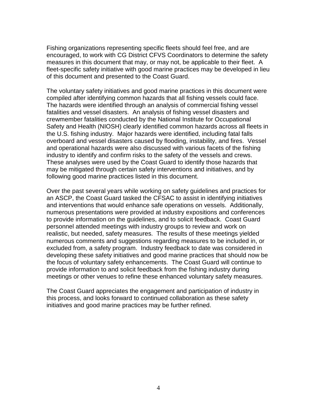Fishing organizations representing specific fleets should feel free, and are encouraged, to work with CG District CFVS Coordinators to determine the safety measures in this document that may, or may not, be applicable to their fleet. A fleet-specific safety initiative with good marine practices may be developed in lieu of this document and presented to the Coast Guard.

The voluntary safety initiatives and good marine practices in this document were compiled after identifying common hazards that all fishing vessels could face. The hazards were identified through an analysis of commercial fishing vessel fatalities and vessel disasters. An analysis of fishing vessel disasters and crewmember fatalities conducted by the National Institute for Occupational Safety and Health (NIOSH) clearly identified common hazards across all fleets in the U.S. fishing industry. Major hazards were identified, including fatal falls overboard and vessel disasters caused by flooding, instability, and fires. Vessel and operational hazards were also discussed with various facets of the fishing industry to identify and confirm risks to the safety of the vessels and crews. These analyses were used by the Coast Guard to identify those hazards that may be mitigated through certain safety interventions and initiatives, and by following good marine practices listed in this document.

Over the past several years while working on safety guidelines and practices for an ASCP, the Coast Guard tasked the CFSAC to assist in identifying initiatives and interventions that would enhance safe operations on vessels. Additionally, numerous presentations were provided at industry expositions and conferences to provide information on the guidelines, and to solicit feedback. Coast Guard personnel attended meetings with industry groups to review and work on realistic, but needed, safety measures. The results of these meetings yielded numerous comments and suggestions regarding measures to be included in, or excluded from, a safety program. Industry feedback to date was considered in developing these safety initiatives and good marine practices that should now be the focus of voluntary safety enhancements. The Coast Guard will continue to provide information to and solicit feedback from the fishing industry during meetings or other venues to refine these enhanced voluntary safety measures.

The Coast Guard appreciates the engagement and participation of industry in this process, and looks forward to continued collaboration as these safety initiatives and good marine practices may be further refined.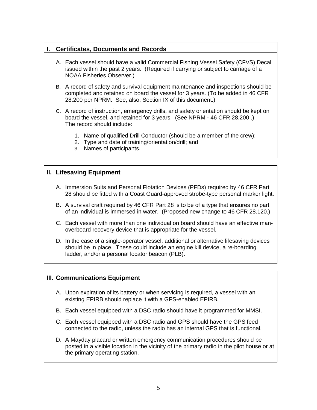## **I. Certificates, Documents and Records**

- A. Each vessel should have a valid Commercial Fishing Vessel Safety (CFVS) Decal issued within the past 2 years. (Required if carrying or subject to carriage of a NOAA Fisheries Observer.)
- B. A record of safety and survival equipment maintenance and inspections should be completed and retained on board the vessel for 3 years. (To be added in 46 CFR 28.200 per NPRM. See, also, Section IX of this document.)
- C. A record of instruction, emergency drills, and safety orientation should be kept on board the vessel, and retained for 3 years. (See NPRM - 46 CFR 28.200 .) The record should include:
	- 1. Name of qualified Drill Conductor (should be a member of the crew);
	- 2. Type and date of training/orientation/drill; and
	- 3. Names of participants.

### **II. Lifesaving Equipment**

- A. Immersion Suits and Personal Flotation Devices (PFDs) required by 46 CFR Part 28 should be fitted with a Coast Guard-approved strobe-type personal marker light.
- B. A survival craft required by 46 CFR Part 28 is to be of a type that ensures no part of an individual is immersed in water. (Proposed new change to 46 CFR 28.120.)
- C. Each vessel with more than one individual on board should have an effective manoverboard recovery device that is appropriate for the vessel.
- D. In the case of a single-operator vessel, additional or alternative lifesaving devices should be in place. These could include an engine kill device, a re-boarding ladder, and/or a personal locator beacon (PLB).

#### **III. Communications Equipment**

- A. Upon expiration of its battery or when servicing is required, a vessel with an existing EPIRB should replace it with a GPS-enabled EPIRB.
- B. Each vessel equipped with a DSC radio should have it programmed for MMSI.
- C. Each vessel equipped with a DSC radio and GPS should have the GPS feed connected to the radio, unless the radio has an internal GPS that is functional.
- D. A Mayday placard or written emergency communication procedures should be posted in a visible location in the vicinity of the primary radio in the pilot house or at the primary operating station.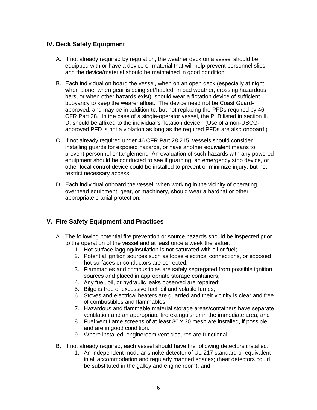## **IV. Deck Safety Equipment**

- A. If not already required by regulation, the weather deck on a vessel should be equipped with or have a device or material that will help prevent personnel slips, and the device/material should be maintained in good condition.
- B. Each individual on board the vessel, when on an open deck (especially at night, when alone, when gear is being set/hauled, in bad weather, crossing hazardous bars, or when other hazards exist), should wear a flotation device of sufficient buoyancy to keep the wearer afloat. The device need not be Coast Guardapproved, and may be in addition to, but not replacing the PFDs required by 46 CFR Part 28. In the case of a single-operator vessel, the PLB listed in section II. D. should be affixed to the individual's flotation device. (Use of a non-USCGapproved PFD is not a violation as long as the required PFDs are also onboard.)
- C. If not already required under 46 CFR Part 28.215, vessels should consider installing guards for exposed hazards, or have another equivalent means to prevent personnel entanglement. An evaluation of such hazards with any powered equipment should be conducted to see if guarding, an emergency stop device, or other local control device could be installed to prevent or minimize injury, but not restrict necessary access.
- D. Each individual onboard the vessel, when working in the vicinity of operating overhead equipment, gear, or machinery, should wear a hardhat or other appropriate cranial protection.

## **V. Fire Safety Equipment and Practices**

- A. The following potential fire prevention or source hazards should be inspected prior to the operation of the vessel and at least once a week thereafter:
	- 1. Hot surface lagging/insulation is not saturated with oil or fuel;
	- 2. Potential ignition sources such as loose electrical connections, or exposed hot surfaces or conductors are corrected;
	- 3. Flammables and combustibles are safely segregated from possible ignition sources and placed in appropriate storage containers;
	- 4. Any fuel, oil, or hydraulic leaks observed are repaired;
	- 5. Bilge is free of excessive fuel, oil and volatile fumes;
	- 6. Stoves and electrical heaters are guarded and their vicinity is clear and free of combustibles and flammables;
	- 7. Hazardous and flammable material storage areas/containers have separate ventilation and an appropriate fire extinguisher in the immediate area; and
	- 8. Fuel vent flame screens of at least 30 x 30 mesh are installed, if possible, and are in good condition.
	- 9. Where installed, engineroom vent closures are functional.
- B. If not already required, each vessel should have the following detectors installed:
	- 1. An independent modular smoke detector of UL-217 standard or equivalent in all accommodation and regularly manned spaces; (heat detectors could be substituted in the galley and engine room); and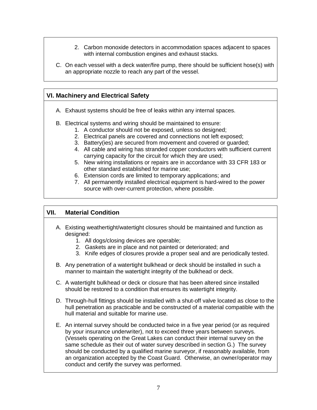- 2. Carbon monoxide detectors in accommodation spaces adjacent to spaces with internal combustion engines and exhaust stacks.
- C. On each vessel with a deck water/fire pump, there should be sufficient hose(s) with an appropriate nozzle to reach any part of the vessel.

## **VI. Machinery and Electrical Safety**

- A. Exhaust systems should be free of leaks within any internal spaces.
- B. Electrical systems and wiring should be maintained to ensure:
	- 1. A conductor should not be exposed, unless so designed;
	- 2. Electrical panels are covered and connections not left exposed;
	- 3. Battery(ies) are secured from movement and covered or guarded;
	- 4. All cable and wiring has stranded copper conductors with sufficient current carrying capacity for the circuit for which they are used;
	- 5. New wiring installations or repairs are in accordance with 33 CFR 183 or other standard established for marine use;
	- 6. Extension cords are limited to temporary applications; and
	- 7. All permanently installed electrical equipment is hard-wired to the power source with over-current protection, where possible.

## **VII. Material Condition**

- A. Existing weathertight/watertight closures should be maintained and function as designed:
	- 1. All dogs/closing devices are operable;
	- 2. Gaskets are in place and not painted or deteriorated; and
	- 3. Knife edges of closures provide a proper seal and are periodically tested.
- B. Any penetration of a watertight bulkhead or deck should be installed in such a manner to maintain the watertight integrity of the bulkhead or deck.
- C. A watertight bulkhead or deck or closure that has been altered since installed should be restored to a condition that ensures its watertight integrity.
- D. Through-hull fittings should be installed with a shut-off valve located as close to the hull penetration as practicable and be constructed of a material compatible with the hull material and suitable for marine use.
- E. An internal survey should be conducted twice in a five year period (or as required by your insurance underwriter), not to exceed three years between surveys. (Vessels operating on the Great Lakes can conduct their internal survey on the same schedule as their out of water survey described in section G.) The survey should be conducted by a qualified marine surveyor, if reasonably available, from an organization accepted by the Coast Guard. Otherwise, an owner/operator may conduct and certify the survey was performed.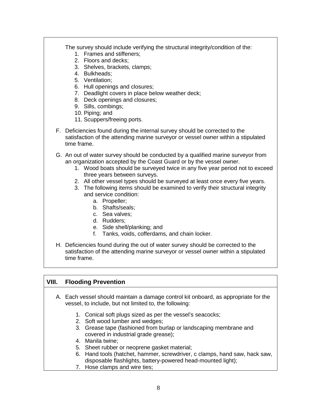| The survey should include verifying the structural integrity/condition of the:<br>1. Frames and stiffeners:<br>2. Floors and decks;<br>3. Shelves, brackets, clamps;<br>4. Bulkheads;<br>5. Ventilation;<br>6. Hull openings and closures;<br>7. Deadlight covers in place below weather deck;<br>8. Deck openings and closures;<br>9. Sills, combings;<br>10. Piping; and<br>11. Scuppers/freeing ports.                                                                                                                                                                                                                   |
|-----------------------------------------------------------------------------------------------------------------------------------------------------------------------------------------------------------------------------------------------------------------------------------------------------------------------------------------------------------------------------------------------------------------------------------------------------------------------------------------------------------------------------------------------------------------------------------------------------------------------------|
| F. Deficiencies found during the internal survey should be corrected to the<br>satisfaction of the attending marine surveyor or vessel owner within a stipulated<br>time frame.                                                                                                                                                                                                                                                                                                                                                                                                                                             |
| G. An out of water survey should be conducted by a qualified marine surveyor from<br>an organization accepted by the Coast Guard or by the vessel owner.<br>1. Wood boats should be surveyed twice in any five year period not to exceed<br>three years between surveys.<br>2. All other vessel types should be surveyed at least once every five years.<br>3. The following items should be examined to verify their structural integrity<br>and service condition:<br>a. Propeller;<br>b. Shafts/seals;<br>c. Sea valves;<br>d. Rudders;<br>e. Side shell/planking; and<br>f. Tanks, voids, cofferdams, and chain locker. |
| H. Deficiencies found during the out of water survey should be corrected to the<br>satisfaction of the attending marine surveyor or vessel owner within a stipulated<br>time frame.                                                                                                                                                                                                                                                                                                                                                                                                                                         |
|                                                                                                                                                                                                                                                                                                                                                                                                                                                                                                                                                                                                                             |

## **VIII. Flooding Prevention**

- A. Each vessel should maintain a damage control kit onboard, as appropriate for the vessel, to include, but not limited to, the following:
	- 1. Conical soft plugs sized as per the vessel's seacocks;
	- 2. Soft wood lumber and wedges;
	- 3. Grease tape (fashioned from burlap or landscaping membrane and covered in industrial grade grease);
	- 4. Manila twine;
	- 5. Sheet rubber or neoprene gasket material;
	- 6. Hand tools (hatchet, hammer, screwdriver, c clamps, hand saw, hack saw, disposable flashlights, battery-powered head-mounted light);
	- 7. Hose clamps and wire ties;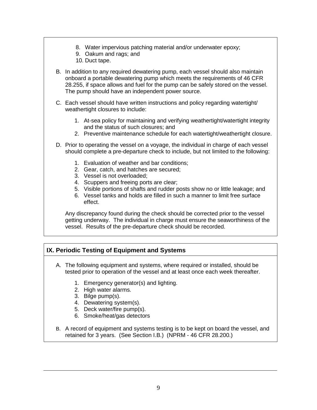- 8. Water impervious patching material and/or underwater epoxy;
- 9. Oakum and rags; and
- 10. Duct tape.
- B. In addition to any required dewatering pump, each vessel should also maintain onboard a portable dewatering pump which meets the requirements of 46 CFR 28.255, if space allows and fuel for the pump can be safely stored on the vessel. The pump should have an independent power source.
- C. Each vessel should have written instructions and policy regarding watertight/ weathertight closures to include:
	- 1. At-sea policy for maintaining and verifying weathertight/watertight integrity and the status of such closures; and
	- 2. Preventive maintenance schedule for each watertight/weathertight closure.
- D. Prior to operating the vessel on a voyage, the individual in charge of each vessel should complete a pre-departure check to include, but not limited to the following:
	- 1. Evaluation of weather and bar conditions;
	- 2. Gear, catch, and hatches are secured;
	- 3. Vessel is not overloaded;
	- 4. Scuppers and freeing ports are clear;
	- 5. Visible portions of shafts and rudder posts show no or little leakage; and
	- 6. Vessel tanks and holds are filled in such a manner to limit free surface effect.

Any discrepancy found during the check should be corrected prior to the vessel getting underway. The individual in charge must ensure the seaworthiness of the vessel. Results of the pre-departure check should be recorded.

## **IX. Periodic Testing of Equipment and Systems**

- A. The following equipment and systems, where required or installed, should be tested prior to operation of the vessel and at least once each week thereafter.
	- 1. Emergency generator(s) and lighting.
	- 2. High water alarms.
	- 3. Bilge pump(s).
	- 4. Dewatering system(s).
	- 5. Deck water/fire pump(s).
	- 6. Smoke/heat/gas detectors
- B. A record of equipment and systems testing is to be kept on board the vessel, and retained for 3 years. (See Section I.B.) (NPRM - 46 CFR 28.200.)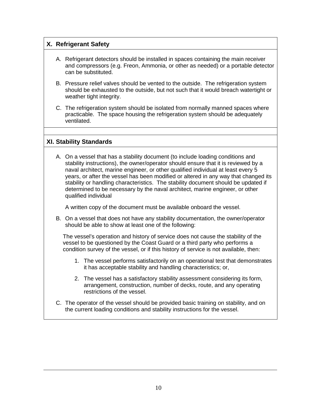## **X. Refrigerant Safety**

- A. Refrigerant detectors should be installed in spaces containing the main receiver and compressors (e.g. Freon, Ammonia, or other as needed) or a portable detector can be substituted.
- B. Pressure relief valves should be vented to the outside. The refrigeration system should be exhausted to the outside, but not such that it would breach watertight or weather tight integrity.
- C. The refrigeration system should be isolated from normally manned spaces where practicable. The space housing the refrigeration system should be adequately ventilated.

#### **XI. Stability Standards**

A. On a vessel that has a stability document (to include loading conditions and stability instructions), the owner/operator should ensure that it is reviewed by a naval architect, marine engineer, or other qualified individual at least every 5 years, or after the vessel has been modified or altered in any way that changed its stability or handling characteristics. The stability document should be updated if determined to be necessary by the naval architect, marine engineer, or other qualified individual

A written copy of the document must be available onboard the vessel.

B. On a vessel that does not have any stability documentation, the owner/operator should be able to show at least one of the following:

The vessel's operation and history of service does not cause the stability of the vessel to be questioned by the Coast Guard or a third party who performs a condition survey of the vessel, or if this history of service is not available, then:

- 1. The vessel performs satisfactorily on an operational test that demonstrates it has acceptable stability and handling characteristics; or,
- 2. The vessel has a satisfactory stability assessment considering its form, arrangement, construction, number of decks, route, and any operating restrictions of the vessel.
- C. The operator of the vessel should be provided basic training on stability, and on the current loading conditions and stability instructions for the vessel.